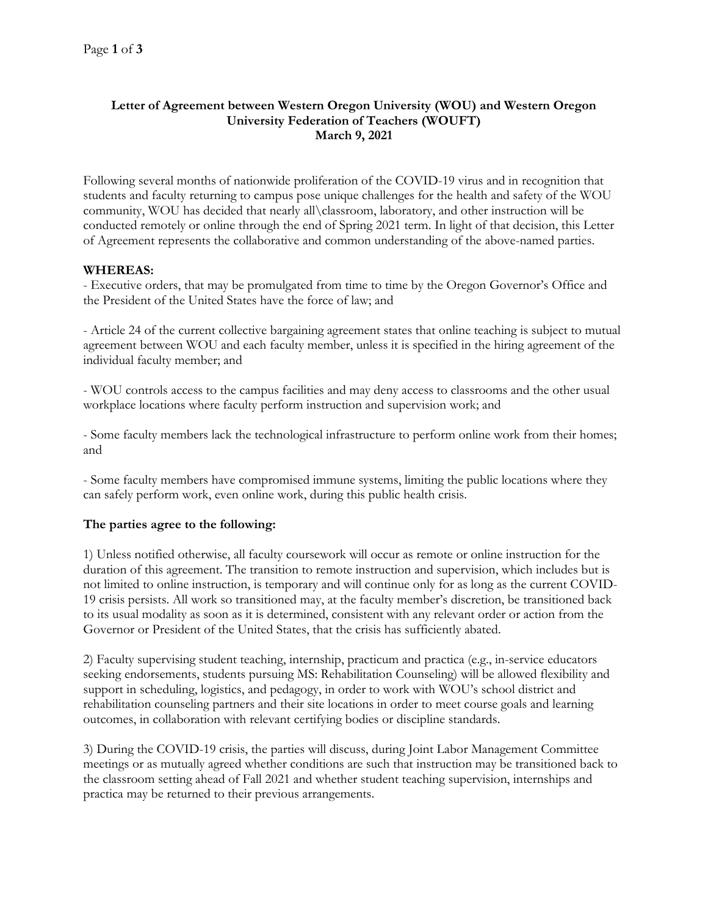## **Letter of Agreement between Western Oregon University (WOU) and Western Oregon University Federation of Teachers (WOUFT) March 9, 2021**

Following several months of nationwide proliferation of the COVID-19 virus and in recognition that students and faculty returning to campus pose unique challenges for the health and safety of the WOU community, WOU has decided that nearly all\classroom, laboratory, and other instruction will be conducted remotely or online through the end of Spring 2021 term. In light of that decision, this Letter of Agreement represents the collaborative and common understanding of the above-named parties.

## **WHEREAS:**

- Executive orders, that may be promulgated from time to time by the Oregon Governor's Office and the President of the United States have the force of law; and

- Article 24 of the current collective bargaining agreement states that online teaching is subject to mutual agreement between WOU and each faculty member, unless it is specified in the hiring agreement of the individual faculty member; and

- WOU controls access to the campus facilities and may deny access to classrooms and the other usual workplace locations where faculty perform instruction and supervision work; and

- Some faculty members lack the technological infrastructure to perform online work from their homes; and

- Some faculty members have compromised immune systems, limiting the public locations where they can safely perform work, even online work, during this public health crisis.

## **The parties agree to the following:**

1) Unless notified otherwise, all faculty coursework will occur as remote or online instruction for the duration of this agreement. The transition to remote instruction and supervision, which includes but is not limited to online instruction, is temporary and will continue only for as long as the current COVID-19 crisis persists. All work so transitioned may, at the faculty member's discretion, be transitioned back to its usual modality as soon as it is determined, consistent with any relevant order or action from the Governor or President of the United States, that the crisis has sufficiently abated.

2) Faculty supervising student teaching, internship, practicum and practica (e.g., in-service educators seeking endorsements, students pursuing MS: Rehabilitation Counseling) will be allowed flexibility and support in scheduling, logistics, and pedagogy, in order to work with WOU's school district and rehabilitation counseling partners and their site locations in order to meet course goals and learning outcomes, in collaboration with relevant certifying bodies or discipline standards.

3) During the COVID-19 crisis, the parties will discuss, during Joint Labor Management Committee meetings or as mutually agreed whether conditions are such that instruction may be transitioned back to the classroom setting ahead of Fall 2021 and whether student teaching supervision, internships and practica may be returned to their previous arrangements.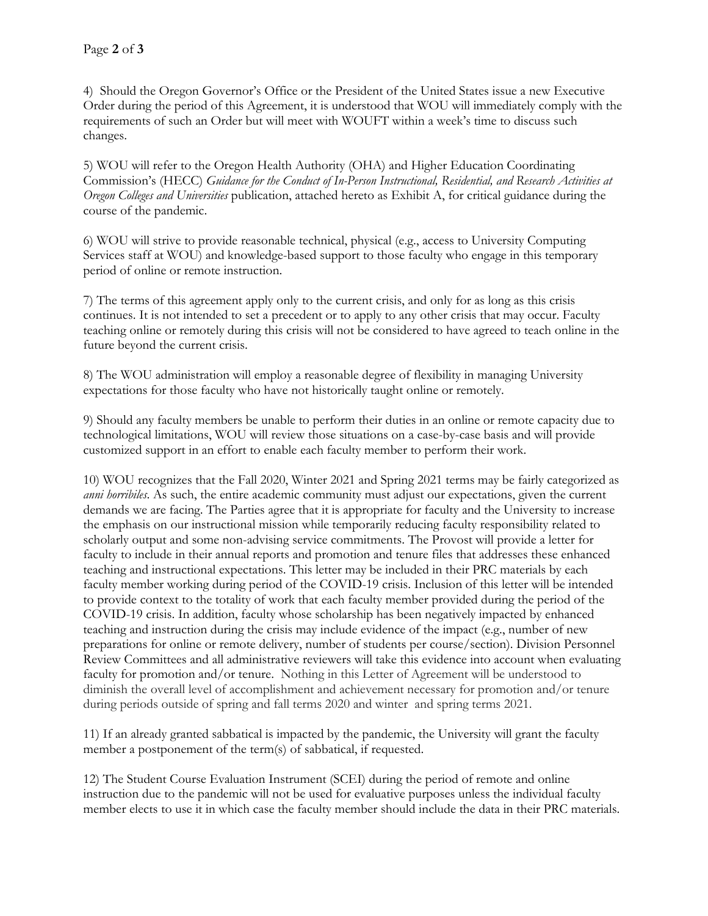4) Should the Oregon Governor's Office or the President of the United States issue a new Executive Order during the period of this Agreement, it is understood that WOU will immediately comply with the requirements of such an Order but will meet with WOUFT within a week's time to discuss such changes.

5) WOU will refer to the Oregon Health Authority (OHA) and Higher Education Coordinating Commission's (HECC) *Guidance for the Conduct of In-Person Instructional, Residential, and Research Activities at Oregon Colleges and Universities* publication, attached hereto as Exhibit A, for critical guidance during the course of the pandemic.

6) WOU will strive to provide reasonable technical, physical (e.g., access to University Computing Services staff at WOU) and knowledge-based support to those faculty who engage in this temporary period of online or remote instruction.

7) The terms of this agreement apply only to the current crisis, and only for as long as this crisis continues. It is not intended to set a precedent or to apply to any other crisis that may occur. Faculty teaching online or remotely during this crisis will not be considered to have agreed to teach online in the future beyond the current crisis.

8) The WOU administration will employ a reasonable degree of flexibility in managing University expectations for those faculty who have not historically taught online or remotely.

9) Should any faculty members be unable to perform their duties in an online or remote capacity due to technological limitations, WOU will review those situations on a case-by-case basis and will provide customized support in an effort to enable each faculty member to perform their work.

10) WOU recognizes that the Fall 2020, Winter 2021 and Spring 2021 terms may be fairly categorized as *anni horribiles*. As such, the entire academic community must adjust our expectations, given the current demands we are facing. The Parties agree that it is appropriate for faculty and the University to increase the emphasis on our instructional mission while temporarily reducing faculty responsibility related to scholarly output and some non-advising service commitments. The Provost will provide a letter for faculty to include in their annual reports and promotion and tenure files that addresses these enhanced teaching and instructional expectations. This letter may be included in their PRC materials by each faculty member working during period of the COVID-19 crisis. Inclusion of this letter will be intended to provide context to the totality of work that each faculty member provided during the period of the COVID-19 crisis. In addition, faculty whose scholarship has been negatively impacted by enhanced teaching and instruction during the crisis may include evidence of the impact (e.g., number of new preparations for online or remote delivery, number of students per course/section). Division Personnel Review Committees and all administrative reviewers will take this evidence into account when evaluating faculty for promotion and/or tenure. Nothing in this Letter of Agreement will be understood to diminish the overall level of accomplishment and achievement necessary for promotion and/or tenure during periods outside of spring and fall terms 2020 and winter and spring terms 2021.

11) If an already granted sabbatical is impacted by the pandemic, the University will grant the faculty member a postponement of the term(s) of sabbatical, if requested.

12) The Student Course Evaluation Instrument (SCEI) during the period of remote and online instruction due to the pandemic will not be used for evaluative purposes unless the individual faculty member elects to use it in which case the faculty member should include the data in their PRC materials.